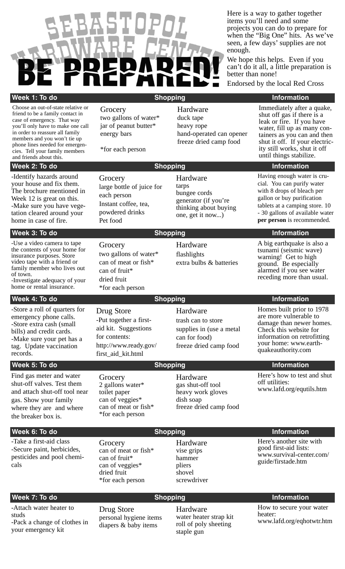

Here is a way to gather together items you'll need and some projects you can do to prepare for when the "Big One" hits. As we've seen, a few days' supplies are not enough.

We hope this helps. Even if you can't do it all, a little preparation is better than none!

Endorsed by the local Red Cross

### **Week 1: To do Note that Contact Contact Shopping Contact Contact Contact Contact Contact Contact Contact Contact Contact Contact Contact Contact Contact Contact Contact Contact Contact Contact Contact Contact Contact Cont**

Choose an out-of-state relative or friend to be a family contact in case of emergency. That way you'll only have to make one call in order to reassure all family members and you won't tie up phone lines needed for emergencies. Tell your family members and friends about this.

#### **Week 2: To do Network Contract Contract Contract Contract Contract Contract Contract Contract Contract Contract Contract Contract Contract Contract Contract Contract Contract Contract Contract Contract Contract Contract C**

-Identify hazards around your house and fix them. The brochure mentioned in Week 12 is great on this. -Make sure you have vegetation cleared around your home in case of fire.

-Use a video camera to tape the contents of your home for insurance purposes. Store video tape with a friend or family member who lives out of town.

-Investigate adequacy of your home or rental insurance.

### **Week 4: To do Network 1: To do Network 1: To do Network 1: To do Network 1: To do Network 1: To do Network 1: To do**

-Store a roll of quarters for emergency phone calls. -Store extra cash (small bills) and credit cards. -Make sure your pet has a tag. Update vaccination records.

### **Week 5: To do Note that Contract Contract Shopping Contract Contract Contract Contract Contract Contract Contract Contract Contract Contract Contract Contract Contract Contract Contract Contract Contract Contract Contract**

Find gas meter and water shut-off valves. Test them and attach shut-off tool near gas. Show your family where they are and where the breaker box is.

### **Week 6: To do Note that Contact Contact Shopping Contact Contact Contact Contact Contact Contact Contact Contact Contact Contact Contact Contact Contact Contact Contact Contact Contact Contact Contact Contact Contact Cont**

-Take a first-aid class -Secure paint, herbicides, pesticides and pool chemicals

# **Grocery**

two gallons of water\* jar of peanut butter\* energy bars

\*for each person

Hardware duck tape heavy rope

**Grocery** 

**Grocery** 

can of fruit\* dried fruit

Drug Store

for contents:

**Grocery** 

can of fruit\* can of veggies\* dried fruit

can of meat or fish\*

\*for each person

\*for each person

-Put together a firstaid kit. Suggestions

http://www.ready.gov/ first\_aid\_kit.html

large bottle of juice for each person Instant coffee, tea, powdered drinks Pet food

two gallons of water\* can of meat or fish\*

#### Hardware tarps bungee cords generator (if you're thinking about buying one, get it now...)

hand-operated can opener freeze dried camp food

**Week 3: To do Network 2: The Shopping Information** 

Hardware flashlights extra bulbs & batteries

#### gallon or buy purification tablets at a camping store. 10

Having enough water is crucial. You can purify water with 8 drops of bleach per

- 30 gallons of available water **per person** is recommended.

Immediately after a quake, shut off gas if there is a leak or fire. If you have water, fill up as many containers as you can and then shut it off. If your electricity still works, shut it off until things stabilize.

A big earthquake is also a tsunami (seismic wave) warning! Get to high ground. Be especially alarmed if you see water receding more than usual.

Homes built prior to 1978 are more vulnerable to damage than newer homes. Check this website for information on retrofitting your home: www.earth-

Hardware trash can to store supplies in (use a metal can for food) freeze dried camp food

## quakeauthority.com

Here's how to test and shut off utilities: www.lafd.org/equtils.htm

#### **Grocery** 2 gallons water\* toilet paper can of veggies\* can of meat or fish\* \*for each person

#### Hardware gas shut-off tool heavy work gloves dish soap freeze dried camp food

Hardware vise grips hammer pliers shovel screwdriver

Here's another site with good first-aid lists: www.survival-center.com/ guide/firstade.htm

### **Week 7: To do Note 2: To do Note 2: To do Note 2: To do Note 2: To do Note 2: To do Note 2: To do Note 2: To do**

-Attach water heater to studs -Pack a change of clothes in your emergency kit

Drug Store personal hygiene items diapers & baby items

Hardware water heater strap kit roll of poly sheeting staple gun

How to secure your water heater:

www.lafd.org/eqhotwtr.htm